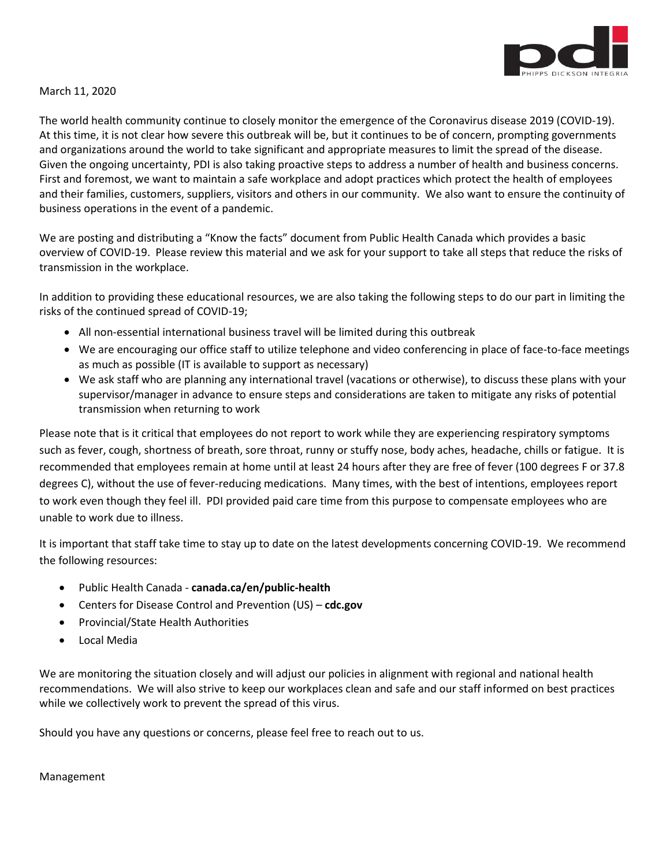

## March 11, 2020

The world health community continue to closely monitor the emergence of the Coronavirus disease 2019 (COVID-19). At this time, it is not clear how severe this outbreak will be, but it continues to be of concern, prompting governments and organizations around the world to take significant and appropriate measures to limit the spread of the disease. Given the ongoing uncertainty, PDI is also taking proactive steps to address a number of health and business concerns. First and foremost, we want to maintain a safe workplace and adopt practices which protect the health of employees and their families, customers, suppliers, visitors and others in our community. We also want to ensure the continuity of business operations in the event of a pandemic.

We are posting and distributing a "Know the facts" document from Public Health Canada which provides a basic overview of COVID-19. Please review this material and we ask for your support to take all steps that reduce the risks of transmission in the workplace.

In addition to providing these educational resources, we are also taking the following steps to do our part in limiting the risks of the continued spread of COVID-19;

- All non-essential international business travel will be limited during this outbreak
- We are encouraging our office staff to utilize telephone and video conferencing in place of face-to-face meetings as much as possible (IT is available to support as necessary)
- We ask staff who are planning any international travel (vacations or otherwise), to discuss these plans with your supervisor/manager in advance to ensure steps and considerations are taken to mitigate any risks of potential transmission when returning to work

Please note that is it critical that employees do not report to work while they are experiencing respiratory symptoms such as fever, cough, shortness of breath, sore throat, runny or stuffy nose, body aches, headache, chills or fatigue. It is recommended that employees remain at home until at least 24 hours after they are free of fever (100 degrees F or 37.8 degrees C), without the use of fever-reducing medications. Many times, with the best of intentions, employees report to work even though they feel ill. PDI provided paid care time from this purpose to compensate employees who are unable to work due to illness.

It is important that staff take time to stay up to date on the latest developments concerning COVID-19. We recommend the following resources:

- Public Health Canada **canada.ca/en/public-health**
- Centers for Disease Control and Prevention (US) **cdc.gov**
- Provincial/State Health Authorities
- Local Media

We are monitoring the situation closely and will adjust our policies in alignment with regional and national health recommendations. We will also strive to keep our workplaces clean and safe and our staff informed on best practices while we collectively work to prevent the spread of this virus.

Should you have any questions or concerns, please feel free to reach out to us.

Management